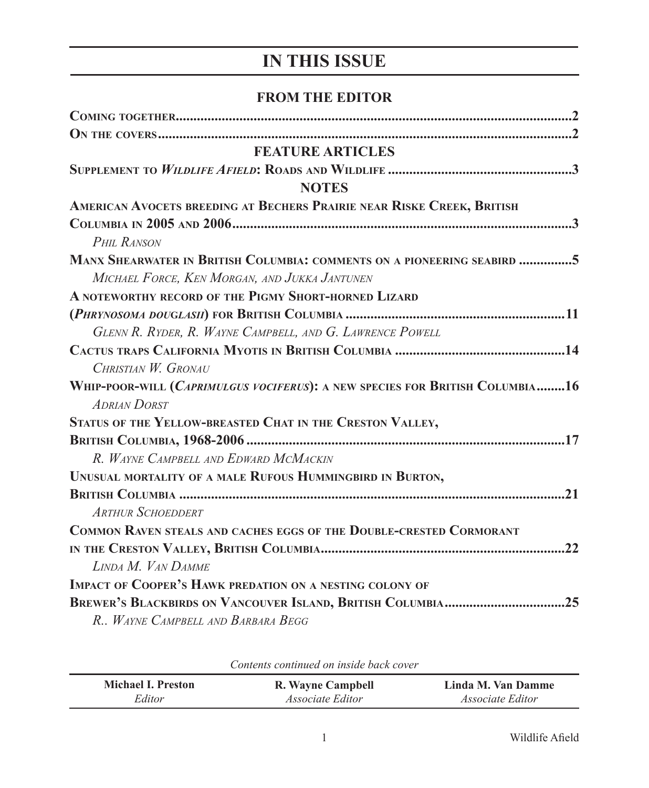## **IN THIS ISSUE**

## **FROM THE EDITOR**

| <b>FEATURE ARTICLES</b>                                                      |
|------------------------------------------------------------------------------|
|                                                                              |
| <b>NOTES</b>                                                                 |
| AMERICAN AVOCETS BREEDING AT BECHERS PRAIRIE NEAR RISKE CREEK, BRITISH       |
|                                                                              |
| <b>PHIL RANSON</b>                                                           |
| MANX SHEARWATER IN BRITISH COLUMBIA: COMMENTS ON A PIONEERING SEABIRD 5      |
| MICHAEL FORCE, KEN MORGAN, AND JUKKA JANTUNEN                                |
| A NOTEWORTHY RECORD OF THE PIGMY SHORT-HORNED LIZARD                         |
|                                                                              |
| GLENN R. RYDER, R. WAYNE CAMPBELL, AND G. LAWRENCE POWELL                    |
|                                                                              |
| CHRISTIAN W. GRONAU                                                          |
| WHIP-POOR-WILL (CAPRIMULGUS VOCIFERUS): A NEW SPECIES FOR BRITISH COLUMBIA16 |
| <b>ADRIAN DORST</b>                                                          |
| STATUS OF THE YELLOW-BREASTED CHAT IN THE CRESTON VALLEY,                    |
|                                                                              |
| R. WAYNE CAMPBELL AND EDWARD MCMACKIN                                        |
| UNUSUAL MORTALITY OF A MALE RUFOUS HUMMINGBIRD IN BURTON,                    |
|                                                                              |
| <b>ARTHUR SCHOEDDERT</b>                                                     |
| COMMON RAVEN STEALS AND CACHES EGGS OF THE DOUBLE-CRESTED CORMORANT          |
|                                                                              |
| LINDA M. VAN DAMME                                                           |
| <b>IMPACT OF COOPER'S HAWK PREDATION ON A NESTING COLONY OF</b>              |
| BREWER'S BLACKBIRDS ON VANCOUVER ISLAND, BRITISH COLUMBIA25                  |
| R., WAYNE CAMPBELL AND BARBARA BEGG                                          |

| Coments communed on inside buck cover |                         |                         |  |
|---------------------------------------|-------------------------|-------------------------|--|
| Michael I. Preston                    | R. Wayne Campbell       | Linda M. Van Damme      |  |
| Editor                                | <i>Associate Editor</i> | <i>Associate Editor</i> |  |

*Contents continued on inside back cover*